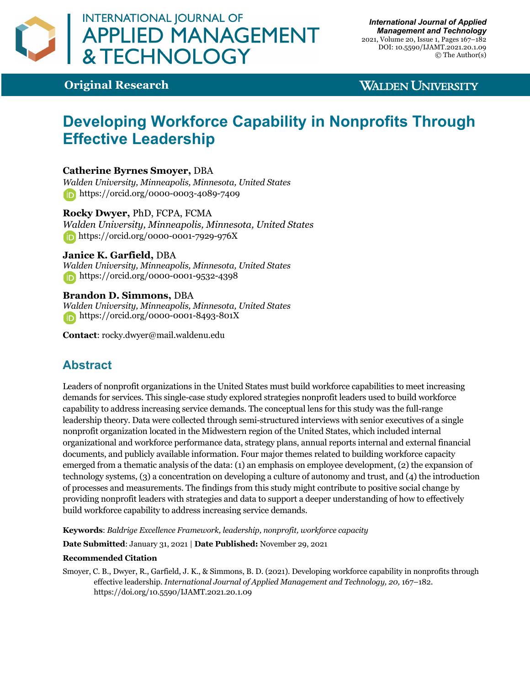

**Original Research**

### **WALDEN UNIVERSITY**

# **Developing Workforce Capability in Nonprofits Through Effective Leadership**

### **Catherine Byrnes Smoyer,** DBA

*Walden University, Minneapolis, Minnesota, United States* https://orcid.org/0000-0003-4089-7409

#### **Rocky Dwyer,** PhD, FCPA, FCMA

*Walden University, Minneapolis, Minnesota, United States* https://orcid.org/0000-0001-7929-976X

### **Janice K. Garfield,** DBA

*Walden University, Minneapolis, Minnesota, United States* **https://orcid.org/0000-0001-9532-4398** 

#### **Brandon D. Simmons,** DBA

*Walden University, Minneapolis, Minnesota, United States* **https://orcid.org/0000-0001-8493-801X** 

**Contact**: rocky.dwyer@mail.waldenu.edu

# **Abstract**

Leaders of nonprofit organizations in the United States must build workforce capabilities to meet increasing demands for services. This single-case study explored strategies nonprofit leaders used to build workforce capability to address increasing service demands. The conceptual lens for this study was the full-range leadership theory. Data were collected through semi-structured interviews with senior executives of a single nonprofit organization located in the Midwestern region of the United States, which included internal organizational and workforce performance data, strategy plans, annual reports internal and external financial documents, and publicly available information. Four major themes related to building workforce capacity emerged from a thematic analysis of the data: (1) an emphasis on employee development, (2) the expansion of technology systems, (3) a concentration on developing a culture of autonomy and trust, and (4) the introduction of processes and measurements. The findings from this study might contribute to positive social change by providing nonprofit leaders with strategies and data to support a deeper understanding of how to effectively build workforce capability to address increasing service demands.

**Keywords**: *Baldrige Excellence Framework, leadership, nonprofit, workforce capacity*

**Date Submitted**: January 31, 2021 | **Date Published:** November 29, 2021

#### **Recommended Citation**

Smoyer, C. B., Dwyer, R., Garfield, J. K., & Simmons, B. D. (2021). Developing workforce capability in nonprofits through effective leadership. *International Journal of Applied Management and Technology, 20,* 167–182. https://doi.org/10.5590/IJAMT.2021.20.1.09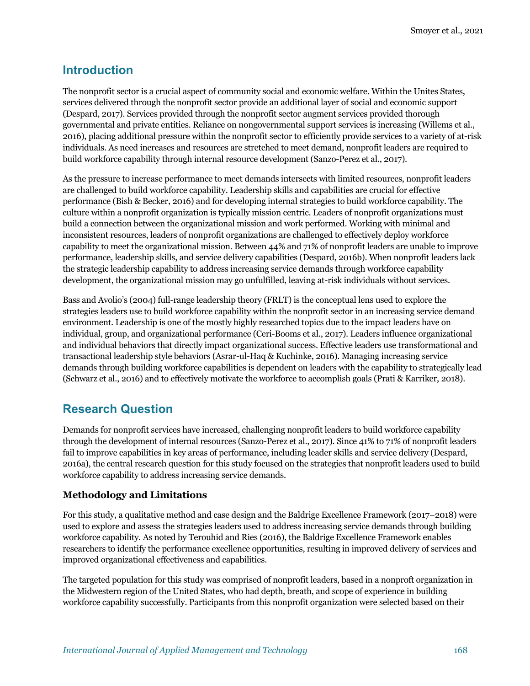### **Introduction**

The nonprofit sector is a crucial aspect of community social and economic welfare. Within the Unites States, services delivered through the nonprofit sector provide an additional layer of social and economic support (Despard, 2017). Services provided through the nonprofit sector augment services provided thorough governmental and private entities. Reliance on nongovernmental support services is increasing (Willems et al., 2016), placing additional pressure within the nonprofit sector to efficiently provide services to a variety of at-risk individuals. As need increases and resources are stretched to meet demand, nonprofit leaders are required to build workforce capability through internal resource development (Sanzo-Perez et al., 2017).

As the pressure to increase performance to meet demands intersects with limited resources, nonprofit leaders are challenged to build workforce capability. Leadership skills and capabilities are crucial for effective performance (Bish & Becker, 2016) and for developing internal strategies to build workforce capability. The culture within a nonprofit organization is typically mission centric. Leaders of nonprofit organizations must build a connection between the organizational mission and work performed. Working with minimal and inconsistent resources, leaders of nonprofit organizations are challenged to effectively deploy workforce capability to meet the organizational mission. Between 44% and 71% of nonprofit leaders are unable to improve performance, leadership skills, and service delivery capabilities (Despard, 2016b). When nonprofit leaders lack the strategic leadership capability to address increasing service demands through workforce capability development, the organizational mission may go unfulfilled, leaving at-risk individuals without services.

Bass and Avolio's (2004) full-range leadership theory (FRLT) is the conceptual lens used to explore the strategies leaders use to build workforce capability within the nonprofit sector in an increasing service demand environment. Leadership is one of the mostly highly researched topics due to the impact leaders have on individual, group, and organizational performance (Ceri-Booms et al., 2017). Leaders influence organizational and individual behaviors that directly impact organizational success. Effective leaders use transformational and transactional leadership style behaviors (Asrar-ul-Haq & Kuchinke, 2016). Managing increasing service demands through building workforce capabilities is dependent on leaders with the capability to strategically lead (Schwarz et al., 2016) and to effectively motivate the workforce to accomplish goals (Prati & Karriker, 2018).

# **Research Question**

Demands for nonprofit services have increased, challenging nonprofit leaders to build workforce capability through the development of internal resources (Sanzo-Perez et al., 2017). Since 41% to 71% of nonprofit leaders fail to improve capabilities in key areas of performance, including leader skills and service delivery (Despard, 2016a), the central research question for this study focused on the strategies that nonprofit leaders used to build workforce capability to address increasing service demands.

### **Methodology and Limitations**

For this study, a qualitative method and case design and the Baldrige Excellence Framework (2017–2018) were used to explore and assess the strategies leaders used to address increasing service demands through building workforce capability. As noted by Terouhid and Ries (2016), the Baldrige Excellence Framework enables researchers to identify the performance excellence opportunities, resulting in improved delivery of services and improved organizational effectiveness and capabilities.

The targeted population for this study was comprised of nonprofit leaders, based in a nonproft organization in the Midwestern region of the United States, who had depth, breath, and scope of experience in building workforce capability successfully. Participants from this nonprofit organization were selected based on their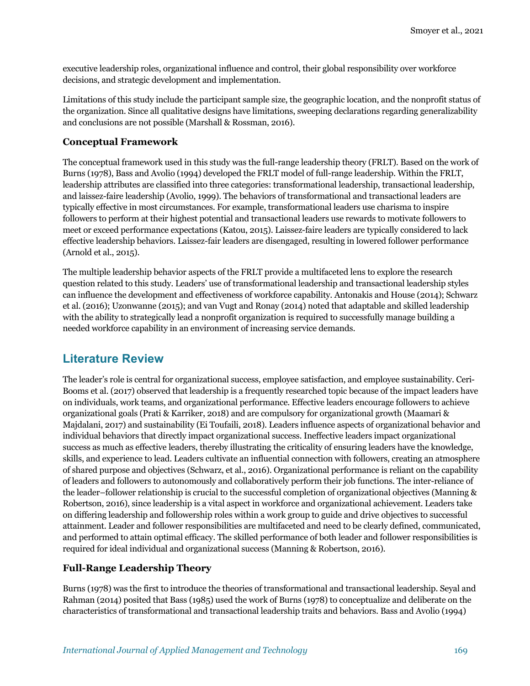executive leadership roles, organizational influence and control, their global responsibility over workforce decisions, and strategic development and implementation.

Limitations of this study include the participant sample size, the geographic location, and the nonprofit status of the organization. Since all qualitative designs have limitations, sweeping declarations regarding generalizability and conclusions are not possible (Marshall & Rossman, 2016).

#### **Conceptual Framework**

The conceptual framework used in this study was the full-range leadership theory (FRLT). Based on the work of Burns (1978), Bass and Avolio (1994) developed the FRLT model of full-range leadership. Within the FRLT, leadership attributes are classified into three categories: transformational leadership, transactional leadership, and laissez-faire leadership (Avolio, 1999). The behaviors of transformational and transactional leaders are typically effective in most circumstances. For example, transformational leaders use charisma to inspire followers to perform at their highest potential and transactional leaders use rewards to motivate followers to meet or exceed performance expectations (Katou, 2015). Laissez-faire leaders are typically considered to lack effective leadership behaviors. Laissez-fair leaders are disengaged, resulting in lowered follower performance (Arnold et al., 2015).

The multiple leadership behavior aspects of the FRLT provide a multifaceted lens to explore the research question related to this study. Leaders' use of transformational leadership and transactional leadership styles can influence the development and effectiveness of workforce capability. Antonakis and House (2014); Schwarz et al. (2016); Uzonwanne (2015); and van Vugt and Ronay (2014) noted that adaptable and skilled leadership with the ability to strategically lead a nonprofit organization is required to successfully manage building a needed workforce capability in an environment of increasing service demands.

### **Literature Review**

The leader's role is central for organizational success, employee satisfaction, and employee sustainability. Ceri-Booms et al. (2017) observed that leadership is a frequently researched topic because of the impact leaders have on individuals, work teams, and organizational performance. Effective leaders encourage followers to achieve organizational goals (Prati & Karriker, 2018) and are compulsory for organizational growth (Maamari & Majdalani, 2017) and sustainability (Ei Toufaili, 2018). Leaders influence aspects of organizational behavior and individual behaviors that directly impact organizational success. Ineffective leaders impact organizational success as much as effective leaders, thereby illustrating the criticality of ensuring leaders have the knowledge, skills, and experience to lead. Leaders cultivate an influential connection with followers, creating an atmosphere of shared purpose and objectives (Schwarz, et al., 2016). Organizational performance is reliant on the capability of leaders and followers to autonomously and collaboratively perform their job functions. The inter-reliance of the leader–follower relationship is crucial to the successful completion of organizational objectives (Manning & Robertson, 2016), since leadership is a vital aspect in workforce and organizational achievement. Leaders take on differing leadership and followership roles within a work group to guide and drive objectives to successful attainment. Leader and follower responsibilities are multifaceted and need to be clearly defined, communicated, and performed to attain optimal efficacy. The skilled performance of both leader and follower responsibilities is required for ideal individual and organizational success (Manning & Robertson, 2016).

### **Full-Range Leadership Theory**

Burns (1978) was the first to introduce the theories of transformational and transactional leadership. Seyal and Rahman (2014) posited that Bass (1985) used the work of Burns (1978) to conceptualize and deliberate on the characteristics of transformational and transactional leadership traits and behaviors. Bass and Avolio (1994)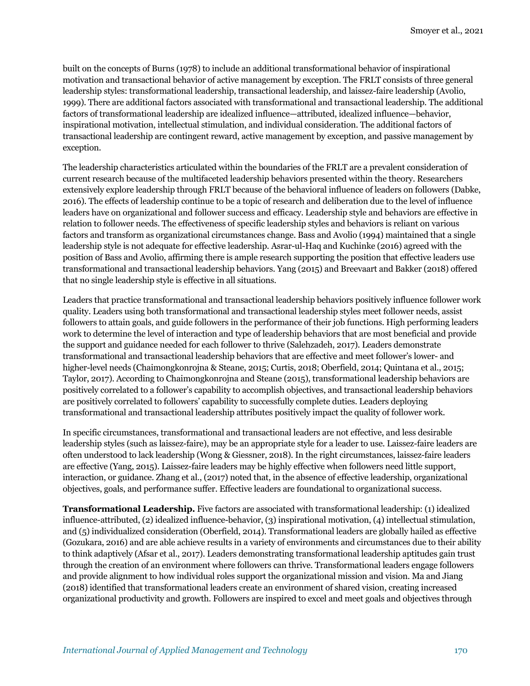built on the concepts of Burns (1978) to include an additional transformational behavior of inspirational motivation and transactional behavior of active management by exception. The FRLT consists of three general leadership styles: transformational leadership, transactional leadership, and laissez-faire leadership (Avolio, 1999). There are additional factors associated with transformational and transactional leadership. The additional factors of transformational leadership are idealized influence—attributed, idealized influence—behavior, inspirational motivation, intellectual stimulation, and individual consideration. The additional factors of transactional leadership are contingent reward, active management by exception, and passive management by exception.

The leadership characteristics articulated within the boundaries of the FRLT are a prevalent consideration of current research because of the multifaceted leadership behaviors presented within the theory. Researchers extensively explore leadership through FRLT because of the behavioral influence of leaders on followers (Dabke, 2016). The effects of leadership continue to be a topic of research and deliberation due to the level of influence leaders have on organizational and follower success and efficacy. Leadership style and behaviors are effective in relation to follower needs. The effectiveness of specific leadership styles and behaviors is reliant on various factors and transform as organizational circumstances change. Bass and Avolio (1994) maintained that a single leadership style is not adequate for effective leadership. Asrar-ul-Haq and Kuchinke (2016) agreed with the position of Bass and Avolio, affirming there is ample research supporting the position that effective leaders use transformational and transactional leadership behaviors. Yang (2015) and Breevaart and Bakker (2018) offered that no single leadership style is effective in all situations.

Leaders that practice transformational and transactional leadership behaviors positively influence follower work quality. Leaders using both transformational and transactional leadership styles meet follower needs, assist followers to attain goals, and guide followers in the performance of their job functions. High performing leaders work to determine the level of interaction and type of leadership behaviors that are most beneficial and provide the support and guidance needed for each follower to thrive (Salehzadeh, 2017). Leaders demonstrate transformational and transactional leadership behaviors that are effective and meet follower's lower- and higher-level needs (Chaimongkonrojna & Steane, 2015; Curtis, 2018; Oberfield, 2014; Quintana et al., 2015; Taylor, 2017). According to Chaimongkonrojna and Steane (2015), transformational leadership behaviors are positively correlated to a follower's capability to accomplish objectives, and transactional leadership behaviors are positively correlated to followers' capability to successfully complete duties. Leaders deploying transformational and transactional leadership attributes positively impact the quality of follower work.

In specific circumstances, transformational and transactional leaders are not effective, and less desirable leadership styles (such as laissez-faire), may be an appropriate style for a leader to use. Laissez-faire leaders are often understood to lack leadership (Wong & Giessner, 2018). In the right circumstances, laissez-faire leaders are effective (Yang, 2015). Laissez-faire leaders may be highly effective when followers need little support, interaction, or guidance. Zhang et al., (2017) noted that, in the absence of effective leadership, organizational objectives, goals, and performance suffer. Effective leaders are foundational to organizational success.

**Transformational Leadership.** Five factors are associated with transformational leadership: (1) idealized influence-attributed, (2) idealized influence-behavior, (3) inspirational motivation, (4) intellectual stimulation, and (5) individualized consideration (Oberfield, 2014). Transformational leaders are globally hailed as effective (Gozukara, 2016) and are able achieve results in a variety of environments and circumstances due to their ability to think adaptively (Afsar et al., 2017). Leaders demonstrating transformational leadership aptitudes gain trust through the creation of an environment where followers can thrive. Transformational leaders engage followers and provide alignment to how individual roles support the organizational mission and vision. Ma and Jiang (2018) identified that transformational leaders create an environment of shared vision, creating increased organizational productivity and growth. Followers are inspired to excel and meet goals and objectives through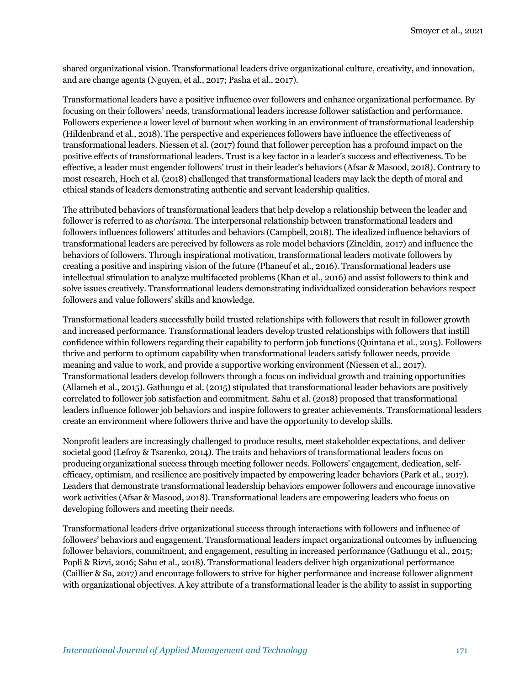shared organizational vision. Transformational leaders drive organizational culture, creativity, and innovation, and are change agents (Nguyen, et al., 2017; Pasha et al., 2017).

Transformational leaders have a positive influence over followers and enhance organizational performance. By focusing on their followers' needs, transformational leaders increase follower satisfaction and performance. Followers experience a lower level of burnout when working in an environment of transformational leadership (Hildenbrand et al., 2018). The perspective and experiences followers have influence the effectiveness of transformational leaders. Niessen et al. (2017) found that follower perception has a profound impact on the positive effects of transformational leaders. Trust is a key factor in a leader's success and effectiveness. To be effective, a leader must engender followers' trust in their leader's behaviors (Afsar & Masood, 2018). Contrary to most research, Hoch et al. (2018) challenged that transformational leaders may lack the depth of moral and ethical stands of leaders demonstrating authentic and servant leadership qualities.

The attributed behaviors of transformational leaders that help develop a relationship between the leader and follower is referred to as *charisma*. The interpersonal relationship between transformational leaders and followers influences followers' attitudes and behaviors (Campbell, 2018). The idealized influence behaviors of transformational leaders are perceived by followers as role model behaviors (Zineldin, 2017) and influence the behaviors of followers. Through inspirational motivation, transformational leaders motivate followers by creating a positive and inspiring vision of the future (Phaneuf et al., 2016). Transformational leaders use intellectual stimulation to analyze multifaceted problems (Khan et al., 2016) and assist followers to think and solve issues creatively. Transformational leaders demonstrating individualized consideration behaviors respect followers and value followers' skills and knowledge.

Transformational leaders successfully build trusted relationships with followers that result in follower growth and increased performance. Transformational leaders develop trusted relationships with followers that instill confidence within followers regarding their capability to perform job functions (Quintana et al., 2015). Followers thrive and perform to optimum capability when transformational leaders satisfy follower needs, provide meaning and value to work, and provide a supportive working environment (Niessen et al., 2017). Transformational leaders develop followers through a focus on individual growth and training opportunities (Allameh et al., 2015). Gathungu et al. (2015) stipulated that transformational leader behaviors are positively correlated to follower job satisfaction and commitment. Sahu et al. (2018) proposed that transformational leaders influence follower job behaviors and inspire followers to greater achievements. Transformational leaders create an environment where followers thrive and have the opportunity to develop skills.

Nonprofit leaders are increasingly challenged to produce results, meet stakeholder expectations, and deliver societal good (Lefroy & Tsarenko, 2014). The traits and behaviors of transformational leaders focus on producing organizational success through meeting follower needs. Followers' engagement, dedication, selfefficacy, optimism, and resilience are positively impacted by empowering leader behaviors (Park et al., 2017). Leaders that demonstrate transformational leadership behaviors empower followers and encourage innovative work activities (Afsar & Masood, 2018). Transformational leaders are empowering leaders who focus on developing followers and meeting their needs.

Transformational leaders drive organizational success through interactions with followers and influence of followers' behaviors and engagement. Transformational leaders impact organizational outcomes by influencing follower behaviors, commitment, and engagement, resulting in increased performance (Gathungu et al., 2015; Popli & Rizvi, 2016; Sahu et al., 2018). Transformational leaders deliver high organizational performance (Caillier & Sa, 2017) and encourage followers to strive for higher performance and increase follower alignment with organizational objectives. A key attribute of a transformational leader is the ability to assist in supporting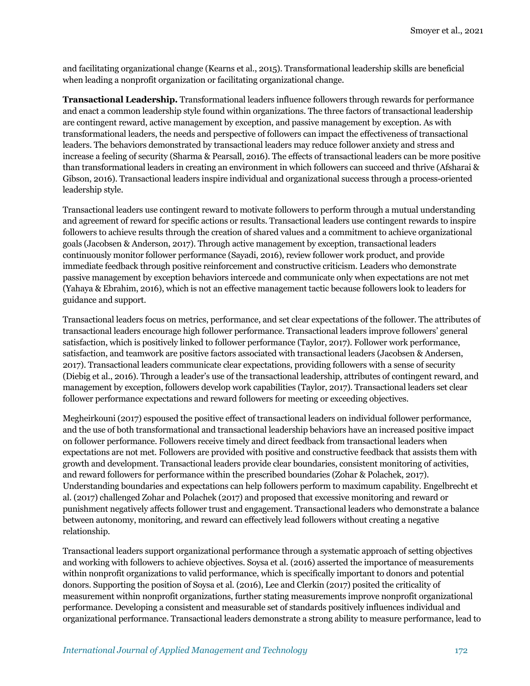and facilitating organizational change (Kearns et al., 2015). Transformational leadership skills are beneficial when leading a nonprofit organization or facilitating organizational change.

**Transactional Leadership.** Transformational leaders influence followers through rewards for performance and enact a common leadership style found within organizations. The three factors of transactional leadership are contingent reward, active management by exception, and passive management by exception. As with transformational leaders, the needs and perspective of followers can impact the effectiveness of transactional leaders. The behaviors demonstrated by transactional leaders may reduce follower anxiety and stress and increase a feeling of security (Sharma & Pearsall, 2016). The effects of transactional leaders can be more positive than transformational leaders in creating an environment in which followers can succeed and thrive (Afsharai & Gibson, 2016). Transactional leaders inspire individual and organizational success through a process-oriented leadership style.

Transactional leaders use contingent reward to motivate followers to perform through a mutual understanding and agreement of reward for specific actions or results. Transactional leaders use contingent rewards to inspire followers to achieve results through the creation of shared values and a commitment to achieve organizational goals (Jacobsen & Anderson, 2017). Through active management by exception, transactional leaders continuously monitor follower performance (Sayadi, 2016), review follower work product, and provide immediate feedback through positive reinforcement and constructive criticism. Leaders who demonstrate passive management by exception behaviors intercede and communicate only when expectations are not met (Yahaya & Ebrahim, 2016), which is not an effective management tactic because followers look to leaders for guidance and support.

Transactional leaders focus on metrics, performance, and set clear expectations of the follower. The attributes of transactional leaders encourage high follower performance. Transactional leaders improve followers' general satisfaction, which is positively linked to follower performance (Taylor, 2017). Follower work performance, satisfaction, and teamwork are positive factors associated with transactional leaders (Jacobsen & Andersen, 2017). Transactional leaders communicate clear expectations, providing followers with a sense of security (Diebig et al., 2016). Through a leader's use of the transactional leadership, attributes of contingent reward, and management by exception, followers develop work capabilities (Taylor, 2017). Transactional leaders set clear follower performance expectations and reward followers for meeting or exceeding objectives.

Megheirkouni (2017) espoused the positive effect of transactional leaders on individual follower performance, and the use of both transformational and transactional leadership behaviors have an increased positive impact on follower performance. Followers receive timely and direct feedback from transactional leaders when expectations are not met. Followers are provided with positive and constructive feedback that assists them with growth and development. Transactional leaders provide clear boundaries, consistent monitoring of activities, and reward followers for performance within the prescribed boundaries (Zohar & Polachek, 2017). Understanding boundaries and expectations can help followers perform to maximum capability. Engelbrecht et al. (2017) challenged Zohar and Polachek (2017) and proposed that excessive monitoring and reward or punishment negatively affects follower trust and engagement. Transactional leaders who demonstrate a balance between autonomy, monitoring, and reward can effectively lead followers without creating a negative relationship.

Transactional leaders support organizational performance through a systematic approach of setting objectives and working with followers to achieve objectives. Soysa et al. (2016) asserted the importance of measurements within nonprofit organizations to valid performance, which is specifically important to donors and potential donors. Supporting the position of Soysa et al. (2016), Lee and Clerkin (2017) posited the criticality of measurement within nonprofit organizations, further stating measurements improve nonprofit organizational performance. Developing a consistent and measurable set of standards positively influences individual and organizational performance. Transactional leaders demonstrate a strong ability to measure performance, lead to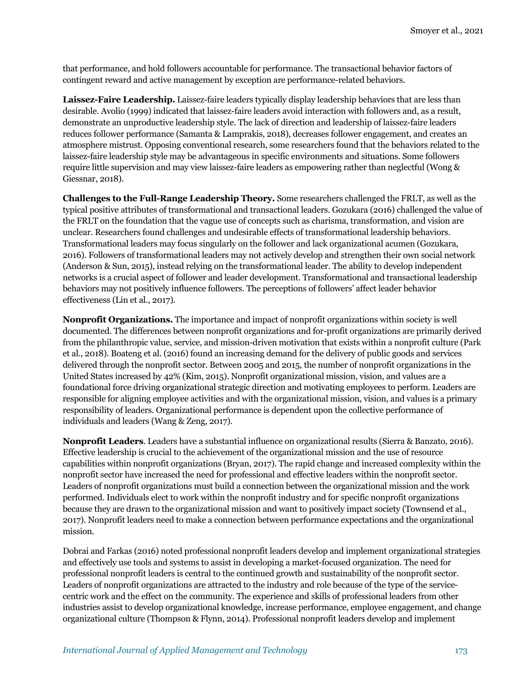that performance, and hold followers accountable for performance. The transactional behavior factors of contingent reward and active management by exception are performance-related behaviors.

**Laissez-Faire Leadership.** Laissez-faire leaders typically display leadership behaviors that are less than desirable. Avolio (1999) indicated that laissez-faire leaders avoid interaction with followers and, as a result, demonstrate an unproductive leadership style. The lack of direction and leadership of laissez-faire leaders reduces follower performance (Samanta & Lamprakis, 2018), decreases follower engagement, and creates an atmosphere mistrust. Opposing conventional research, some researchers found that the behaviors related to the laissez-faire leadership style may be advantageous in specific environments and situations. Some followers require little supervision and may view laissez-faire leaders as empowering rather than neglectful (Wong & Giessnar, 2018).

**Challenges to the Full-Range Leadership Theory.** Some researchers challenged the FRLT, as well as the typical positive attributes of transformational and transactional leaders. Gozukara (2016) challenged the value of the FRLT on the foundation that the vague use of concepts such as charisma, transformation, and vision are unclear. Researchers found challenges and undesirable effects of transformational leadership behaviors. Transformational leaders may focus singularly on the follower and lack organizational acumen (Gozukara, 2016). Followers of transformational leaders may not actively develop and strengthen their own social network (Anderson & Sun, 2015), instead relying on the transformational leader. The ability to develop independent networks is a crucial aspect of follower and leader development. Transformational and transactional leadership behaviors may not positively influence followers. The perceptions of followers' affect leader behavior effectiveness (Lin et al., 2017).

**Nonprofit Organizations.** The importance and impact of nonprofit organizations within society is well documented. The differences between nonprofit organizations and for-profit organizations are primarily derived from the philanthropic value, service, and mission-driven motivation that exists within a nonprofit culture (Park et al., 2018). Boateng et al. (2016) found an increasing demand for the delivery of public goods and services delivered through the nonprofit sector. Between 2005 and 2015, the number of nonprofit organizations in the United States increased by 42% (Kim, 2015). Nonprofit organizational mission, vision, and values are a foundational force driving organizational strategic direction and motivating employees to perform. Leaders are responsible for aligning employee activities and with the organizational mission, vision, and values is a primary responsibility of leaders. Organizational performance is dependent upon the collective performance of individuals and leaders (Wang & Zeng, 2017).

**Nonprofit Leaders**. Leaders have a substantial influence on organizational results (Sierra & Banzato, 2016). Effective leadership is crucial to the achievement of the organizational mission and the use of resource capabilities within nonprofit organizations (Bryan, 2017). The rapid change and increased complexity within the nonprofit sector have increased the need for professional and effective leaders within the nonprofit sector. Leaders of nonprofit organizations must build a connection between the organizational mission and the work performed. Individuals elect to work within the nonprofit industry and for specific nonprofit organizations because they are drawn to the organizational mission and want to positively impact society (Townsend et al., 2017). Nonprofit leaders need to make a connection between performance expectations and the organizational mission.

Dobrai and Farkas (2016) noted professional nonprofit leaders develop and implement organizational strategies and effectively use tools and systems to assist in developing a market-focused organization. The need for professional nonprofit leaders is central to the continued growth and sustainability of the nonprofit sector. Leaders of nonprofit organizations are attracted to the industry and role because of the type of the servicecentric work and the effect on the community. The experience and skills of professional leaders from other industries assist to develop organizational knowledge, increase performance, employee engagement, and change organizational culture (Thompson & Flynn, 2014). Professional nonprofit leaders develop and implement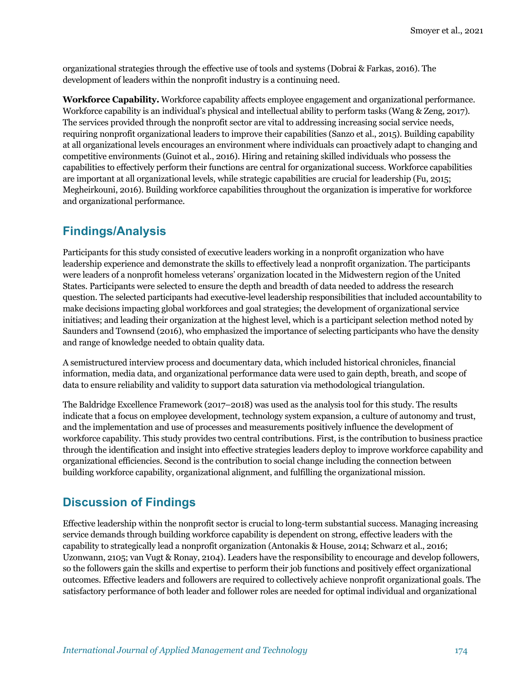organizational strategies through the effective use of tools and systems (Dobrai & Farkas, 2016). The development of leaders within the nonprofit industry is a continuing need.

**Workforce Capability.** Workforce capability affects employee engagement and organizational performance. Workforce capability is an individual's physical and intellectual ability to perform tasks (Wang & Zeng, 2017). The services provided through the nonprofit sector are vital to addressing increasing social service needs, requiring nonprofit organizational leaders to improve their capabilities (Sanzo et al., 2015). Building capability at all organizational levels encourages an environment where individuals can proactively adapt to changing and competitive environments (Guinot et al., 2016). Hiring and retaining skilled individuals who possess the capabilities to effectively perform their functions are central for organizational success. Workforce capabilities are important at all organizational levels, while strategic capabilities are crucial for leadership (Fu, 2015; Megheirkouni, 2016). Building workforce capabilities throughout the organization is imperative for workforce and organizational performance.

# **Findings/Analysis**

Participants for this study consisted of executive leaders working in a nonprofit organization who have leadership experience and demonstrate the skills to effectively lead a nonprofit organization. The participants were leaders of a nonprofit homeless veterans' organization located in the Midwestern region of the United States. Participants were selected to ensure the depth and breadth of data needed to address the research question. The selected participants had executive-level leadership responsibilities that included accountability to make decisions impacting global workforces and goal strategies; the development of organizational service initiatives; and leading their organization at the highest level, which is a participant selection method noted by Saunders and Townsend (2016), who emphasized the importance of selecting participants who have the density and range of knowledge needed to obtain quality data.

A semistructured interview process and documentary data, which included historical chronicles, financial information, media data, and organizational performance data were used to gain depth, breath, and scope of data to ensure reliability and validity to support data saturation via methodological triangulation.

The Baldridge Excellence Framework (2017–2018) was used as the analysis tool for this study. The results indicate that a focus on employee development, technology system expansion, a culture of autonomy and trust, and the implementation and use of processes and measurements positively influence the development of workforce capability. This study provides two central contributions. First, is the contribution to business practice through the identification and insight into effective strategies leaders deploy to improve workforce capability and organizational efficiencies. Second is the contribution to social change including the connection between building workforce capability, organizational alignment, and fulfilling the organizational mission.

# **Discussion of Findings**

Effective leadership within the nonprofit sector is crucial to long-term substantial success. Managing increasing service demands through building workforce capability is dependent on strong, effective leaders with the capability to strategically lead a nonprofit organization (Antonakis & House, 2014; Schwarz et al., 2016; Uzonwann, 2105; van Vugt & Ronay, 2104). Leaders have the responsibility to encourage and develop followers, so the followers gain the skills and expertise to perform their job functions and positively effect organizational outcomes. Effective leaders and followers are required to collectively achieve nonprofit organizational goals. The satisfactory performance of both leader and follower roles are needed for optimal individual and organizational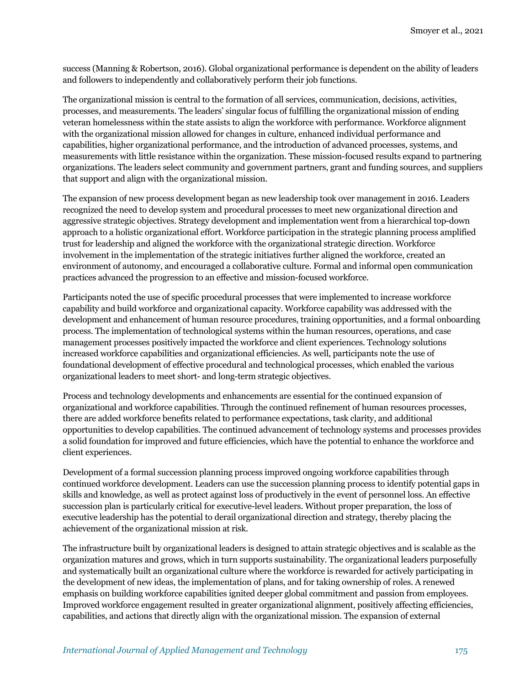success (Manning & Robertson, 2016). Global organizational performance is dependent on the ability of leaders and followers to independently and collaboratively perform their job functions.

The organizational mission is central to the formation of all services, communication, decisions, activities, processes, and measurements. The leaders' singular focus of fulfilling the organizational mission of ending veteran homelessness within the state assists to align the workforce with performance. Workforce alignment with the organizational mission allowed for changes in culture, enhanced individual performance and capabilities, higher organizational performance, and the introduction of advanced processes, systems, and measurements with little resistance within the organization. These mission-focused results expand to partnering organizations. The leaders select community and government partners, grant and funding sources, and suppliers that support and align with the organizational mission.

The expansion of new process development began as new leadership took over management in 2016. Leaders recognized the need to develop system and procedural processes to meet new organizational direction and aggressive strategic objectives. Strategy development and implementation went from a hierarchical top-down approach to a holistic organizational effort. Workforce participation in the strategic planning process amplified trust for leadership and aligned the workforce with the organizational strategic direction. Workforce involvement in the implementation of the strategic initiatives further aligned the workforce, created an environment of autonomy, and encouraged a collaborative culture. Formal and informal open communication practices advanced the progression to an effective and mission-focused workforce.

Participants noted the use of specific procedural processes that were implemented to increase workforce capability and build workforce and organizational capacity. Workforce capability was addressed with the development and enhancement of human resource procedures, training opportunities, and a formal onboarding process. The implementation of technological systems within the human resources, operations, and case management processes positively impacted the workforce and client experiences. Technology solutions increased workforce capabilities and organizational efficiencies. As well, participants note the use of foundational development of effective procedural and technological processes, which enabled the various organizational leaders to meet short- and long-term strategic objectives.

Process and technology developments and enhancements are essential for the continued expansion of organizational and workforce capabilities. Through the continued refinement of human resources processes, there are added workforce benefits related to performance expectations, task clarity, and additional opportunities to develop capabilities. The continued advancement of technology systems and processes provides a solid foundation for improved and future efficiencies, which have the potential to enhance the workforce and client experiences.

Development of a formal succession planning process improved ongoing workforce capabilities through continued workforce development. Leaders can use the succession planning process to identify potential gaps in skills and knowledge, as well as protect against loss of productively in the event of personnel loss. An effective succession plan is particularly critical for executive-level leaders. Without proper preparation, the loss of executive leadership has the potential to derail organizational direction and strategy, thereby placing the achievement of the organizational mission at risk.

The infrastructure built by organizational leaders is designed to attain strategic objectives and is scalable as the organization matures and grows, which in turn supports sustainability. The organizational leaders purposefully and systematically built an organizational culture where the workforce is rewarded for actively participating in the development of new ideas, the implementation of plans, and for taking ownership of roles. A renewed emphasis on building workforce capabilities ignited deeper global commitment and passion from employees. Improved workforce engagement resulted in greater organizational alignment, positively affecting efficiencies, capabilities, and actions that directly align with the organizational mission. The expansion of external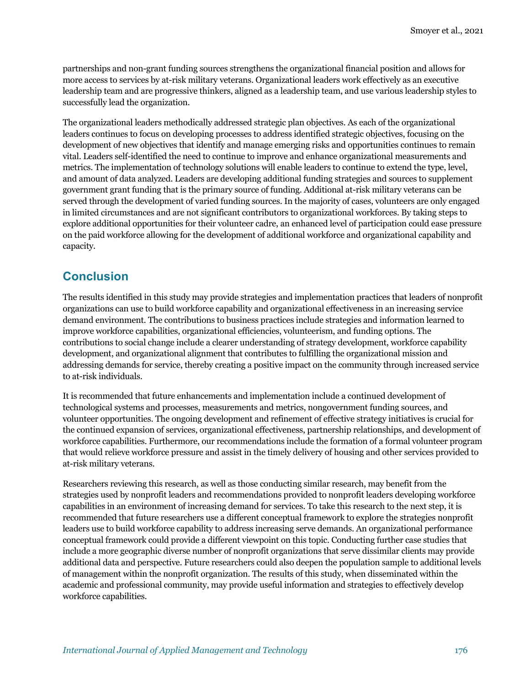partnerships and non-grant funding sources strengthens the organizational financial position and allows for more access to services by at-risk military veterans. Organizational leaders work effectively as an executive leadership team and are progressive thinkers, aligned as a leadership team, and use various leadership styles to successfully lead the organization.

The organizational leaders methodically addressed strategic plan objectives. As each of the organizational leaders continues to focus on developing processes to address identified strategic objectives, focusing on the development of new objectives that identify and manage emerging risks and opportunities continues to remain vital. Leaders self-identified the need to continue to improve and enhance organizational measurements and metrics. The implementation of technology solutions will enable leaders to continue to extend the type, level, and amount of data analyzed. Leaders are developing additional funding strategies and sources to supplement government grant funding that is the primary source of funding. Additional at-risk military veterans can be served through the development of varied funding sources. In the majority of cases, volunteers are only engaged in limited circumstances and are not significant contributors to organizational workforces. By taking steps to explore additional opportunities for their volunteer cadre, an enhanced level of participation could ease pressure on the paid workforce allowing for the development of additional workforce and organizational capability and capacity.

### **Conclusion**

The results identified in this study may provide strategies and implementation practices that leaders of nonprofit organizations can use to build workforce capability and organizational effectiveness in an increasing service demand environment. The contributions to business practices include strategies and information learned to improve workforce capabilities, organizational efficiencies, volunteerism, and funding options. The contributions to social change include a clearer understanding of strategy development, workforce capability development, and organizational alignment that contributes to fulfilling the organizational mission and addressing demands for service, thereby creating a positive impact on the community through increased service to at-risk individuals.

It is recommended that future enhancements and implementation include a continued development of technological systems and processes, measurements and metrics, nongovernment funding sources, and volunteer opportunities. The ongoing development and refinement of effective strategy initiatives is crucial for the continued expansion of services, organizational effectiveness, partnership relationships, and development of workforce capabilities. Furthermore, our recommendations include the formation of a formal volunteer program that would relieve workforce pressure and assist in the timely delivery of housing and other services provided to at-risk military veterans.

Researchers reviewing this research, as well as those conducting similar research, may benefit from the strategies used by nonprofit leaders and recommendations provided to nonprofit leaders developing workforce capabilities in an environment of increasing demand for services. To take this research to the next step, it is recommended that future researchers use a different conceptual framework to explore the strategies nonprofit leaders use to build workforce capability to address increasing serve demands. An organizational performance conceptual framework could provide a different viewpoint on this topic. Conducting further case studies that include a more geographic diverse number of nonprofit organizations that serve dissimilar clients may provide additional data and perspective. Future researchers could also deepen the population sample to additional levels of management within the nonprofit organization. The results of this study, when disseminated within the academic and professional community, may provide useful information and strategies to effectively develop workforce capabilities.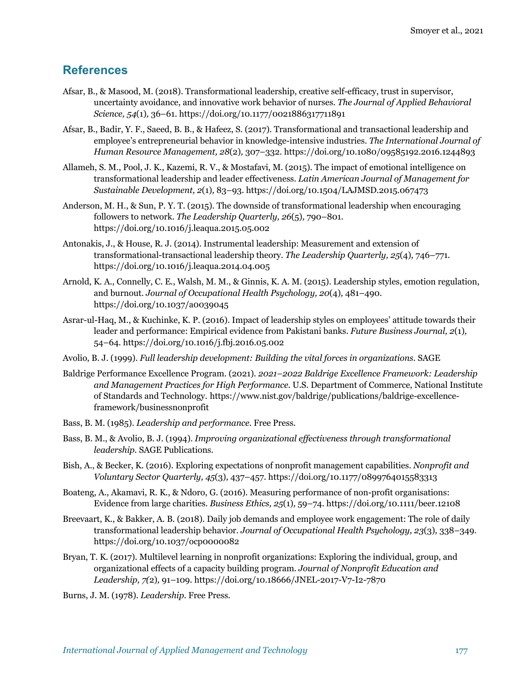### **References**

- Afsar, B., & Masood, M. (2018). Transformational leadership, creative self-efficacy, trust in supervisor, uncertainty avoidance, and innovative work behavior of nurses. *The Journal of Applied Behavioral Science, 54*(1)*,* 36–61. https://doi.org/10.1177/0021886317711891
- Afsar, B., Badir, Y. F., Saeed, B. B., & Hafeez, S. (2017). Transformational and transactional leadership and employee's entrepreneurial behavior in knowledge-intensive industries. *The International Journal of Human Resource Management, 28*(2)*,* 307–332. https://doi.org/10.1080/09585192.2016.1244893
- Allameh, S. M., Pool, J. K., Kazemi, R. V., & Mostafavi, M. (2015). The impact of emotional intelligence on transformational leadership and leader effectiveness. *Latin American Journal of Management for Sustainable Development, 2*(1)*,* 83–93. https://doi.org/10.1504/LAJMSD.2015.067473
- Anderson, M. H., & Sun, P. Y. T. (2015). The downside of transformational leadership when encouraging followers to network. *The Leadership Quarterly, 26*(5)*,* 790–801. https://doi.org/10.1016/j.leaqua.2015.05.002
- Antonakis, J., & House, R. J. (2014). Instrumental leadership: Measurement and extension of transformational-transactional leadership theory. *The Leadership Quarterly, 25*(4)*,* 746–771. https://doi.org/10.1016/j.leaqua.2014.04.005
- Arnold, K. A., Connelly, C. E., Walsh, M. M., & Ginnis, K. A. M. (2015). Leadership styles, emotion regulation, and burnout. *Journal of Occupational Health Psychology, 20*(4)*,* 481–490. https://doi.org/10.1037/a0039045
- Asrar-ul-Haq, M., & Kuchinke, K. P. (2016). Impact of leadership styles on employees' attitude towards their leader and performance: Empirical evidence from Pakistani banks. *Future Business Journal, 2*(1)*,* 54–64. https://doi.org/10.1016/j.fbj.2016.05.002
- Avolio, B. J. (1999). *Full leadership development: Building the vital forces in organizations.* SAGE
- Baldrige Performance Excellence Program. (2021). *2021–2022 Baldrige Excellence Framework: Leadership and Management Practices for High Performance*. U.S. Department of Commerce, National Institute of Standards and Technology. https://www.nist.gov/baldrige/publications/baldrige-excellenceframework/businessnonprofit
- Bass, B. M. (1985). *Leadership and performance*. Free Press.
- Bass, B. M., & Avolio, B. J. (1994). *Improving organizational effectiveness through transformational leadership.* SAGE Publications.
- Bish, A., & Becker, K. (2016). Exploring expectations of nonprofit management capabilities. *Nonprofit and Voluntary Sector Quarterly, 45*(3)*,* 437–457. https://doi.org/10.1177/0899764015583313
- Boateng, A., Akamavi, R. K., & Ndoro, G. (2016). Measuring performance of non-profit organisations: Evidence from large charities. *Business Ethics, 25*(1)*,* 59–74. https://doi.org/10.1111/beer.12108
- Breevaart, K., & Bakker, A. B. (2018). Daily job demands and employee work engagement: The role of daily transformational leadership behavior. *Journal of Occupational Health Psychology, 23*(3)*,* 338–349. https://doi.org/10.1037/ocp0000082
- Bryan, T. K. (2017). Multilevel learning in nonprofit organizations: Exploring the individual, group, and organizational effects of a capacity building program. *Journal of Nonprofit Education and Leadership, 7(*2)*,* 91–109. https://doi.org/10.18666/JNEL-2017-V7-I2-7870
- Burns, J. M. (1978). *Leadership.* Free Press.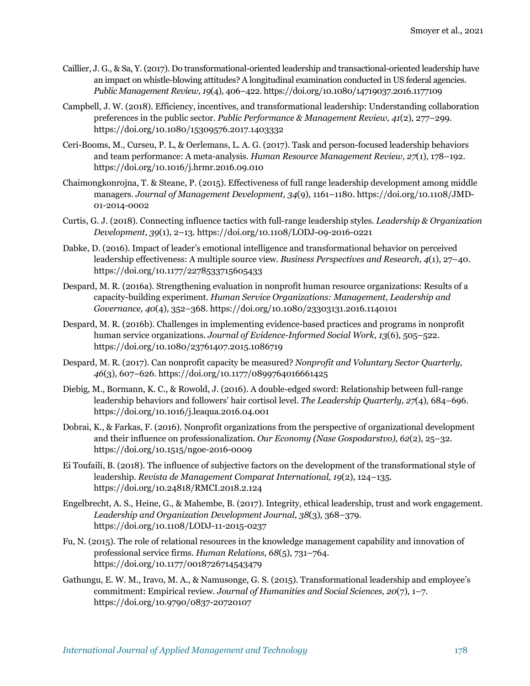- Caillier, J. G., & Sa, Y. (2017). Do transformational-oriented leadership and transactional-oriented leadership have an impact on whistle-blowing attitudes? A longitudinal examination conducted in US federal agencies. *Public Management Review, 19*(4)*,* 406–422. https://doi.org/10.1080/14719037.2016.1177109
- Campbell, J. W. (2018). Efficiency, incentives, and transformational leadership: Understanding collaboration preferences in the public sector. *Public Performance & Management Review, 41*(2)*,* 277–299. https://doi.org/10.1080/15309576.2017.1403332
- Ceri-Booms, M., Curseu, P. L, & Oerlemans, L. A. G. (2017). Task and person-focused leadership behaviors and team performance: A meta-analysis. *Human Resource Management Review, 27*(1)*,* 178–192. https://doi.org/10.1016/j.hrmr.2016.09.010
- Chaimongkonrojna, T. & Steane, P. (2015). Effectiveness of full range leadership development among middle managers. *Journal of Management Development, 34*(9)*,* 1161–1180. https://doi.org/10.1108/JMD-01-2014-0002
- Curtis, G. J. (2018). Connecting influence tactics with full-range leadership styles. *Leadership & Organization Development, 39*(1)*,* 2–13. https://doi.org/10.1108/LODJ-09-2016-0221
- Dabke, D. (2016). Impact of leader's emotional intelligence and transformational behavior on perceived leadership effectiveness: A multiple source view. *Business Perspectives and Research, 4*(1), 27–40. https://doi.org/10.1177/2278533715605433
- Despard, M. R. (2016a). Strengthening evaluation in nonprofit human resource organizations: Results of a capacity-building experiment. *Human Service Organizations: Management, Leadership and Governance, 40*(4)*,* 352–368. https://doi.org/10.1080/23303131.2016.1140101
- Despard, M. R. (2016b). Challenges in implementing evidence-based practices and programs in nonprofit human service organizations. *Journal of Evidence-Informed Social Work, 13*(6)*,* 505–522. https://doi.org/10.1080/23761407.2015.1086719
- Despard, M. R. (2017). Can nonprofit capacity be measured? *Nonprofit and Voluntary Sector Quarterly, 46*(3)*,* 607–626. https://doi.org/10.1177/0899764016661425
- Diebig, M., Bormann, K. C., & Rowold, J. (2016). A double-edged sword: Relationship between full-range leadership behaviors and followers' hair cortisol level. *The Leadership Quarterly, 27*(4)*,* 684–696. https://doi.org/10.1016/j.leaqua.2016.04.001
- Dobrai, K., & Farkas, F. (2016). Nonprofit organizations from the perspective of organizational development and their influence on professionalization. *Our Economy (Nase Gospodarstvo), 62*(2), 25–32. https://doi.org/10.1515/ngoe-2016-0009
- Ei Toufaili, B. (2018). The influence of subjective factors on the development of the transformational style of leadership. *Revista de Management Comparat International, 19*(2)*,* 124–135. https://doi.org/10.24818/RMCI.2018.2.124
- Engelbrecht, A. S., Heine, G., & Mahembe, B. (2017). Integrity, ethical leadership, trust and work engagement. *Leadership and Organization Development Journal, 38*(3)*,* 368–379. https://doi.org/10.1108/LODJ-11-2015-0237
- Fu, N. (2015). The role of relational resources in the knowledge management capability and innovation of professional service firms. *Human Relations, 68*(5)*,* 731–764. https://doi.org/10.1177/0018726714543479
- Gathungu, E. W. M., Iravo, M. A., & Namusonge, G. S. (2015). Transformational leadership and employee's commitment: Empirical review. *Journal of Humanities and Social Sciences, 20*(7), 1–7. https://doi.org/10.9790/0837-20720107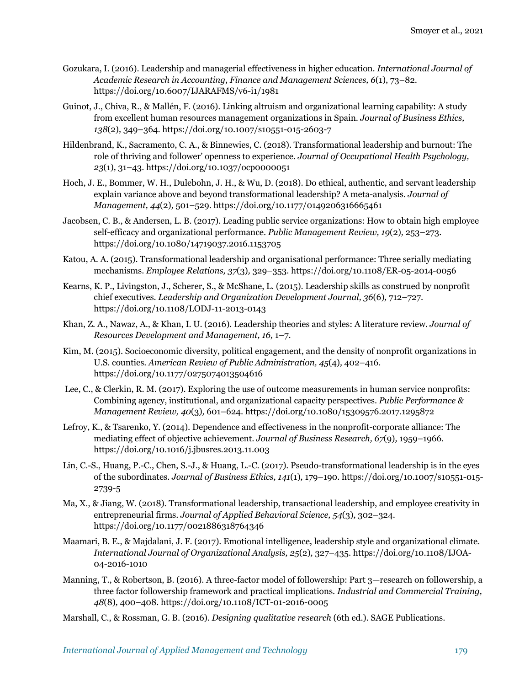- Gozukara, I. (2016). Leadership and managerial effectiveness in higher education. *International Journal of Academic Research in Accounting, Finance and Management Sciences, 6*(1), 73–82. https://doi.org/10.6007/IJARAFMS/v6-i1/1981
- Guinot, J., Chiva, R., & Mallén, F. (2016). Linking altruism and organizational learning capability: A study from excellent human resources management organizations in Spain. *Journal of Business Ethics, 138*(2)*,* 349–364. https://doi.org/10.1007/s10551-015-2603-7
- Hildenbrand, K., Sacramento, C. A., & Binnewies, C. (2018). Transformational leadership and burnout: The role of thriving and follower' openness to experience. *Journal of Occupational Health Psychology, 23*(1)*,* 31–43. https://doi.org/10.1037/ocp0000051
- Hoch, J. E., Bommer, W. H., Dulebohn, J. H., & Wu, D. (2018). Do ethical, authentic, and servant leadership explain variance above and beyond transformational leadership? A meta-analysis. *Journal of Management, 44*(2)*,* 501–529. https://doi.org/10.1177/0149206316665461
- Jacobsen, C. B., & Andersen, L. B. (2017). Leading public service organizations: How to obtain high employee self-efficacy and organizational performance. *Public Management Review, 19*(2)*,* 253–273. https://doi.org/10.1080/14719037.2016.1153705
- Katou, A. A. (2015). Transformational leadership and organisational performance: Three serially mediating mechanisms. *Employee Relations, 37*(3)*,* 329–353. https://doi.org/10.1108/ER-05-2014-0056
- Kearns, K. P., Livingston, J., Scherer, S., & McShane, L. (2015). Leadership skills as construed by nonprofit chief executives. *Leadership and Organization Development Journal, 36*(6)*,* 712–727. https://doi.org/10.1108/LODJ-11-2013-0143
- Khan, Z. A., Nawaz, A., & Khan, I. U. (2016). Leadership theories and styles: A literature review. *Journal of Resources Development and Management, 16,* 1–7.
- Kim, M. (2015). Socioeconomic diversity, political engagement, and the density of nonprofit organizations in U.S. counties. *American Review of Public Administration, 45*(4)*,* 402–416. https://doi.org/10.1177/0275074013504616
- Lee, C., & Clerkin, R. M. (2017). Exploring the use of outcome measurements in human service nonprofits: Combining agency, institutional, and organizational capacity perspectives. *Public Performance & Management Review, 40*(3)*,* 601–624. https://doi.org/10.1080/15309576.2017.1295872
- Lefroy, K., & Tsarenko, Y. (2014). Dependence and effectiveness in the nonprofit-corporate alliance: The mediating effect of objective achievement. *Journal of Business Research, 67*(9)*,* 1959–1966. https://doi.org/10.1016/j.jbusres.2013.11.003
- Lin, C.-S., Huang, P.-C., Chen, S.-J., & Huang, L.-C. (2017). Pseudo-transformational leadership is in the eyes of the subordinates. *Journal of Business Ethics, 141*(1)*,* 179–190. https://doi.org/10.1007/s10551-015- 2739-5
- Ma, X., & Jiang, W. (2018). Transformational leadership, transactional leadership, and employee creativity in entrepreneurial firms. *Journal of Applied Behavioral Science, 54*(3)*,* 302–324. https://doi.org/10.1177/0021886318764346
- Maamari, B. E., & Majdalani, J. F. (2017). Emotional intelligence, leadership style and organizational climate. *International Journal of Organizational Analysis, 25*(2)*,* 327–435. https://doi.org/10.1108/IJOA-04-2016-1010
- Manning, T., & Robertson, B. (2016). A three-factor model of followership: Part 3—research on followership, a three factor followership framework and practical implications. *Industrial and Commercial Training, 48*(8)*,* 400–408. https://doi.org/10.1108/ICT-01-2016-0005
- Marshall, C., & Rossman, G. B. (2016). *Designing qualitative research* (6th ed.). SAGE Publications.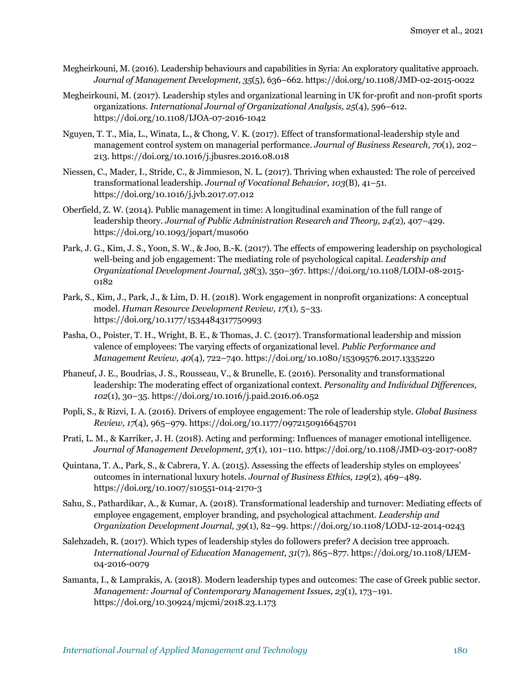- Megheirkouni, M. (2016). Leadership behaviours and capabilities in Syria: An exploratory qualitative approach. *Journal of Management Development, 35*(5)*,* 636–662. https://doi.org/10.1108/JMD-02-2015-0022
- Megheirkouni, M. (2017). Leadership styles and organizational learning in UK for-profit and non-profit sports organizations. *International Journal of Organizational Analysis, 25*(4)*,* 596–612. https://doi.org/10.1108/IJOA-07-2016-1042
- Nguyen, T. T., Mia, L., Winata, L., & Chong, V. K. (2017). Effect of transformational-leadership style and management control system on managerial performance. *Journal of Business Research, 70*(1)*,* 202– 213. https://doi.org/10.1016/j.jbusres.2016.08.018
- Niessen, C., Mader, I., Stride, C., & Jimmieson, N. L. (2017). Thriving when exhausted: The role of perceived transformational leadership. *Journal of Vocational Behavior, 103*(B)*,* 41–51. https://doi.org/10.1016/j.jvb.2017.07.012
- Oberfield, Z. W. (2014). Public management in time: A longitudinal examination of the full range of leadership theory. *Journal of Public Administration Research and Theory, 24*(2)*,* 407–429. https://doi.org/10.1093/jopart/mus060
- Park, J. G., Kim, J. S., Yoon, S. W., & Joo, B.-K. (2017). The effects of empowering leadership on psychological well-being and job engagement: The mediating role of psychological capital. *Leadership and Organizational Development Journal, 38*(3)*,* 350–367. https://doi.org/10.1108/LODJ-08-2015- 0182
- Park, S., Kim, J., Park, J., & Lim, D. H. (2018). Work engagement in nonprofit organizations: A conceptual model. *Human Resource Development Review, 17*(1)*,* 5–33. https://doi.org/10.1177/1534484317750993
- Pasha, O., Poister, T. H., Wright, B. E., & Thomas, J. C. (2017). Transformational leadership and mission valence of employees: The varying effects of organizational level. *Public Performance and Management Review, 40*(4)*,* 722–740. https://doi.org/10.1080/15309576.2017.1335220
- Phaneuf, J. E., Boudrias, J. S., Rousseau, V., & Brunelle, E. (2016). Personality and transformational leadership: The moderating effect of organizational context. *Personality and Individual Differences, 102*(1)*,* 30–35. https://doi.org/10.1016/j.paid.2016.06.052
- Popli, S., & Rizvi, I. A. (2016). Drivers of employee engagement: The role of leadership style. *Global Business Review, 17*(4)*,* 965–979. https://doi.org/10.1177/0972150916645701
- Prati, L. M., & Karriker, J. H. (2018). Acting and performing: Influences of manager emotional intelligence. *Journal of Management Development, 37*(1)*,* 101–110. https://doi.org/10.1108/JMD-03-2017-0087
- Quintana, T. A., Park, S., & Cabrera, Y. A. (2015). Assessing the effects of leadership styles on employees' outcomes in international luxury hotels. *Journal of Business Ethics, 129*(2)*,* 469–489. https://doi.org/10.1007/s10551-014-2170-3
- Sahu, S., Pathardikar, A., & Kumar, A. (2018). Transformational leadership and turnover: Mediating effects of employee engagement, employer branding, and psychological attachment. *Leadership and Organization Development Journal, 39*(1)*,* 82–99. https://doi.org/10.1108/LODJ-12-2014-0243
- Salehzadeh, R. (2017). Which types of leadership styles do followers prefer? A decision tree approach. *International Journal of Education Management, 31*(7)*,* 865–877. https://doi.org/10.1108/IJEM-04-2016-0079
- Samanta, I., & Lamprakis, A. (2018). Modern leadership types and outcomes: The case of Greek public sector. *Management: Journal of Contemporary Management Issues, 23*(1)*,* 173–191. https://doi.org/10.30924/mjcmi/2018.23.1.173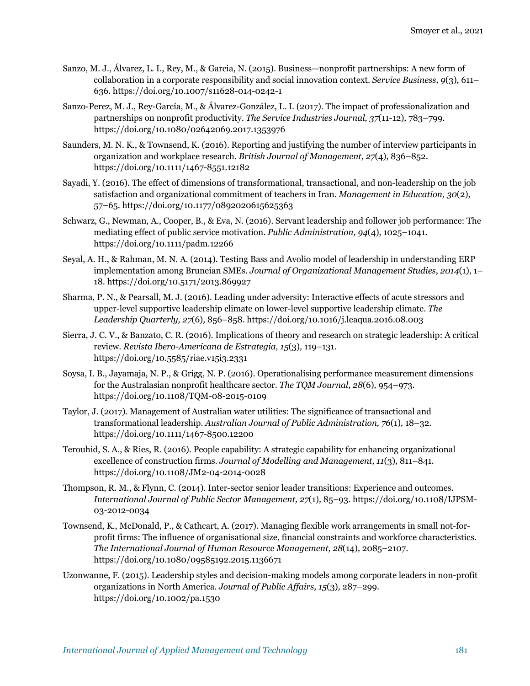- Sanzo, M. J., Álvarez, L. I., Rey, M., & Garcia, N. (2015). Business—nonprofit partnerships: A new form of collaboration in a corporate responsibility and social innovation context. *Service Business, 9*(3)*,* 611– 636. https://doi.org/10.1007/s11628-014-0242-1
- Sanzo-Perez, M. J., Rey-García, M., & Álvarez-González, L. I. (2017). The impact of professionalization and partnerships on nonprofit productivity. *The Service Industries Journal, 37*(11-12)*,* 783–799. https://doi.org/10.1080/02642069.2017.1353976
- Saunders, M. N. K., & Townsend, K. (2016). Reporting and justifying the number of interview participants in organization and workplace research. *British Journal of Management, 27*(4)*,* 836–852. https://doi.org/10.1111/1467-8551.12182
- Sayadi, Y. (2016). The effect of dimensions of transformational, transactional, and non-leadership on the job satisfaction and organizational commitment of teachers in Iran. *Management in Education, 30*(2)*,* 57–65. https://doi.org/10.1177/0892020615625363
- Schwarz, G., Newman, A., Cooper, B., & Eva, N. (2016). Servant leadership and follower job performance: The mediating effect of public service motivation. *Public Administration, 94*(4)*,* 1025–1041. https://doi.org/10.1111/padm.12266
- Seyal, A. H., & Rahman, M. N. A. (2014). Testing Bass and Avolio model of leadership in understanding ERP implementation among Bruneian SMEs. *Journal of Organizational Management Studies*, *2014*(1), 1– 18. https://doi.org/10.5171/2013.869927
- Sharma, P. N., & Pearsall, M. J. (2016). Leading under adversity: Interactive effects of acute stressors and upper-level supportive leadership climate on lower-level supportive leadership climate. *The Leadership Quarterly, 27*(6)*,* 856–858. https://doi.org/10.1016/j.leaqua.2016.08.003
- Sierra, J. C. V., & Banzato, C. R. (2016). Implications of theory and research on strategic leadership: A critical review. *Revista Ibero-Americana de Estrategia, 15*(3)*,* 119–131. https://doi.org/10.5585/riae.v15i3.2331
- Soysa, I. B., Jayamaja, N. P., & Grigg, N. P. (2016). Operationalising performance measurement dimensions for the Australasian nonprofit healthcare sector. *The TQM Journal, 28*(6)*,* 954–973. https://doi.org/10.1108/TQM-08-2015-0109
- Taylor, J. (2017). Management of Australian water utilities: The significance of transactional and transformational leadership. *Australian Journal of Public Administration, 76*(1)*,* 18–32. https://doi.org/10.1111/1467-8500.12200
- Terouhid, S. A., & Ries, R. (2016). People capability: A strategic capability for enhancing organizational excellence of construction firms. *Journal of Modelling and Management, 11*(3)*,* 811–841. https://doi.org/10.1108/JM2-04-2014-0028
- Thompson, R. M., & Flynn, C. (2014). Inter-sector senior leader transitions: Experience and outcomes. *International Journal of Public Sector Management, 27*(1)*,* 85–93. https://doi.org/10.1108/IJPSM-03-2012-0034
- Townsend, K., McDonald, P., & Cathcart, A. (2017). Managing flexible work arrangements in small not-forprofit firms: The influence of organisational size, financial constraints and workforce characteristics. *The International Journal of Human Resource Management, 28*(14)*,* 2085–2107. https://doi.org/10.1080/09585192.2015.1136671
- Uzonwanne, F. (2015). Leadership styles and decision-making models among corporate leaders in non-profit organizations in North America. *Journal of Public Affairs, 15*(3)*,* 287–299. https://doi.org/10.1002/pa.1530